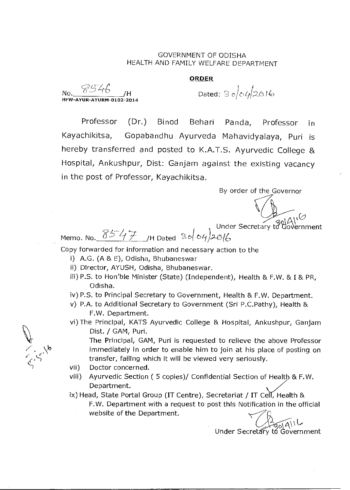## GOVERNMENT OF ODISHA HEALTH AND FAMILY WELFARE DEPARTMENT

#### **ORDER**

No. **5-44 /H**  HFW-AYUR-AYURM-0102-2014

Dated:  $30042016$ 

Professor (Dr.) Binod Behari Panda, Professor in Kayachikitsa, Gopabandhu Ayurveda Mahavidyalaya, Puri is hereby transferred and posted to K.A.T.S. Ayurvedic College & Hospital, Ankushpur, Dist: Ganjam against the existing vacancy in the post of Professor, Kayachikitsa.

By order of the Governor

Under Secretary to Government

Memo. No.  $8547$  /H Dated 30 04/2016

Copy forwarded for information and necessary action to the

- i) A.G. (A & E), Odisha, Bhubaneswar
- ii) Director, AYUSH, Odisha, Bhubaneswar.
- iii) P.S. to Hon'ble Minister (State) (Independent), Health & F.W. & I & PR, Odisha.
- iv) P.S. to Principal Secretary to Government, Health & F.W. Department.
- v) P.A. to Additional Secretary to Government (Sri P.C.Pathy), Health & F.W. Department.
- vi)The Principal, KATS Ayurvedic College & Hospital, Ankushpur, Ganjam Dist. / GAM, Puri.

The Principal, GAM, Puri is requested to relieve the above Professor immediately in order to enable him to join at his place of posting on transfer, failing which it will be viewed very seriously.

- vii) Doctor concerned.
- viii) Ayurvedic Section ( 5 copies)/ Confidential Section of Health & F.W. Department.

ix) Head, State Portal Group (IT Centre), Secretariat / IT Cell, Health & F.W. Department with a request to post this Notification in the official website of the Department.

Under Secretary to Government  $250111$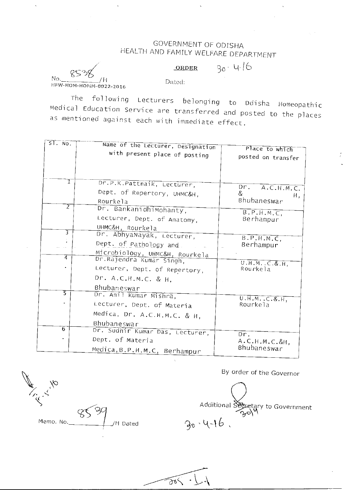# GOVERNMENT OF ODISHA HEALTH AND FAMILY WELFARE DEPARTMENT<br>
<u>ORDER</u>  $3e \cdot 4 \cdot 16$

No. HFW-HOM-HOW4-0022-2016

Dated:

The following Lecturers belonging to Odisha Homeopathic Medical Education Service are transferred and posted to the places as mentioned against each with immediate effect.

| ST. No. | Name of the Lecturer, Designation<br>with present place of posting                          | Place to which<br>posted on transfer     |
|---------|---------------------------------------------------------------------------------------------|------------------------------------------|
| 1<br>2  | Dr.P.K.Pattnaik, Lecturer,<br>Dept. of Repertory, UHMC&H,<br>Rourkela                       | Dr. A.C.H.M.C.<br>&<br>Н,<br>Bhubaneswar |
|         | Dr. BankanidhiMohanty,<br>Lecturer, Dept. of Anatomy,<br>UHMC&H, Rourkela                   | B.P.H.M.C,<br>Berhampur                  |
| 3       | Dr. AbhyaNayak, Lecturer,<br>Dept. of Pathology and.                                        | B.P.H.M.C.<br>Berhampur                  |
| 4       | Microbiology, UHMC&H, Rourkela<br>Dr.Rajendra Kumar Singh,<br>Lecturer, Dept. of Repertory, | U.H.M. . C. & H,<br>Rourkela             |
| 5       | Dr. A.C.H.M.C. & H,<br>Bhubaneswar<br>Dr. Anil Kumar Mishra,                                | U, H, M, .C, & H,                        |
|         | Lecturer, Dept. of Materia<br>Medica, Dr. A.C.H.M.C. & H,<br>Bhubaneswar                    | Rourkela                                 |
| 6       | Dr. Sudhir Kumar Das, Lecturer,<br>Dept. of Materia<br>Medica,B.P.H.M.C, Berhampur          | Dr.<br>$A.C.H.M.C.\&H,$<br>Bhubaneswar   |

Memo. No.  $\overline{\phantom{a}}$  /H Dated

By order of the Governor

Additional Selectary to Government<br>Avoid  $30.416.$ 

क्र<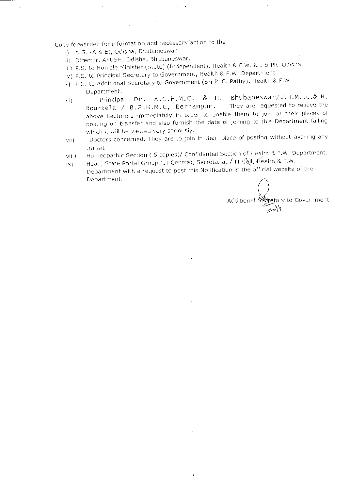Copy forwarded for information and necessary'action to the

- i) A.G. (A & E), Odisha, Bhubaneswar
- ii) Director, AYUSH, Odisha, Bhubaneswar.
- iii) P.S. to Hon'ble Minister (State) (Independent), Health & F.W. & I & PR, Odisha.
- iv) P.S. to Principal Secretary to Government, Health & F.W. Department.
- v) P.S. to Additional Secretary to Government (Sri P. C. Pathy), Health & F.W.
	- Department.
- vi) Principal, Dr. A.C.H.M.C. & H, Bhubaneswar/U.H.M..C.&.H,<br>Rourkela / R.P.H.M.C. Berhampur. They are requested to relieve the Rourkela / B.P.H.M.C, Berhampur. above Lecturers immediately in order to enable them to join at their places of posting on transfer and also furnish the date of joining to this Department tailing which it will be viewed very seriously.
- vii) Doctors concerned. They are to join in their place of posting without availing any transit.
- viii) Homeopathic Section ( 5 copies)/ Confidential Section of Health & F.W. Department.
- ix) Head, State Portal Group (IT Centre), Secretariat / IT Cell, Health & F.W. Department with a request to post this Notification in the official website of the Department.

Additional Selectary to Government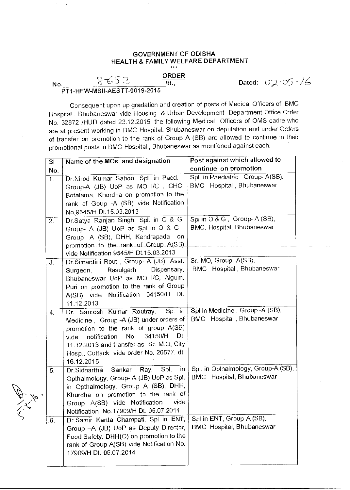#### GOVERNMENT OF ODISHA HEALTH & FAMILY WELFARE DEPARTMENT \*\*\*

ORDER No.  $8-653$  ORD

Dated:  $02.05 - 16$ 

## PT1-HFW-MSII-AESTT-0019-2015

15-16

Consequent upon up gradation and creation of posts of Medical Officers of BMC Hospital , Bhubaneswar vide Housing & Urban Development Department Office Order No. 32872 /HUD dated 23.12.2015, the following Medical Officers of OMS cadre who are at present working in BMC Hospital, Bhubaneswar on deputation and under Orders of transfer on promotion to the rank of Group A (SB) are allowed to continue in their promotional posts in BMC Hospital , Bhubaneswar as mentioned against each.

|                      | $\overline{\mathsf{S}}$ | Name of the MOs and designation                                                                                                                                                                                                                                                | Post against which allowed to                                    |  |
|----------------------|-------------------------|--------------------------------------------------------------------------------------------------------------------------------------------------------------------------------------------------------------------------------------------------------------------------------|------------------------------------------------------------------|--|
|                      | No.                     |                                                                                                                                                                                                                                                                                | continue on promotion                                            |  |
|                      | 1.                      | Dr.Nirod Kumar Sahoo, Spl. in Paed.,<br>Group-A (JB) UoP as MO I/C, CHC,<br>Botalama, Khordha on promotion to the<br>rank of Goup -A (SB) vide Notification<br>No.9545/H Dt.15.03.2013                                                                                         | Spl. in Paediatric, Group-A(SB),<br>BMC Hospital, Bhubaneswar    |  |
|                      | 2.                      | Dr.Satya Ranjan Singh, Spl. in O & G,<br>Group- A (JB) UoP as Spl in O & G,<br>Group- A (SB), DHH, Kendrapada<br>on<br>promotion to the rank of Group A(SB)<br>vide Notification 9545/H Dt.15.03.2013                                                                          | Spl in O & G, Group-A (SB),<br>BMC, Hospital, Bhubaneswar        |  |
|                      | 3.                      | Dr.Simantini Rout, Group-A (JB) Asst.<br>Dispensary,<br>Rasulgarh<br>Surgeon,<br>Bhubaneswar UoP as MO I/C, Algum,<br>Puri on promotion to the rank of Group<br>A(SB) vide Notification 34150/H Dt.<br>11.12.2013                                                              | Sr. MO, Group-A(SB),<br>BMC Hospital, Bhubaneswar                |  |
|                      | 4.                      | Spl in<br>Dr. Santosh Kumar Routray,<br>Medicine, Group -A (JB) under orders of<br>promotion to the rank of group A(SB)<br>34150/H<br>Dt.<br>No.<br>notification<br>vide<br>11.12.2013 and transfer as Sr. M.O, City<br>Hosp., Cuttack vide order No. 26577, dt.<br>16.12.2015 | Spl in Medicine, Group - A (SB),<br>BMC Hospital, Bhubaneswar    |  |
| $\blacktriangledown$ | 5.                      | Spl.<br>in<br>Ray.<br>Sankar<br>Dr.Sidhartha<br>Opthalmology, Group-A (JB) UoP as Spl.<br>in Opthalmology, Group A (SB), DHH,<br>Khurdha on promotion to the rank of<br>Group A(SB) vide Notification<br>vide<br>Notification No.17909/H Dt. 05.07.2014                        | Spl. in Opthalmology, Group-A (SB),<br>BMC Hospital, Bhubaneswar |  |
|                      | 6.                      | Dr. Samir Kanta Champati, Spl in ENT, Spl in ENT, Group-A (SB),<br>Group - A (JB) UoP as Deputy Director,<br>Food Safety, DHH(O) on promotion to the<br>rank of Group A(SB) vide Notification No.<br>17909/H Dt. 05.07.2014                                                    | <b>BMC</b> Hospital, Bhubaneswar                                 |  |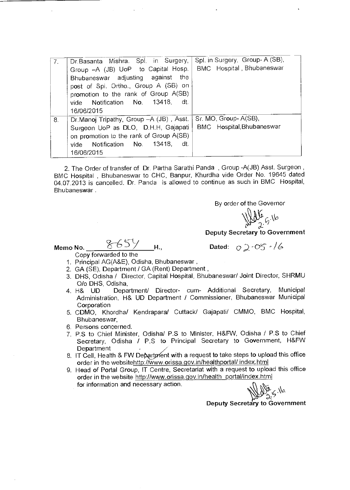| 7. | Dr. Basanta Mishra. Spl. in Surgery,      | Spl. in Surgery, Group-A (SB), |
|----|-------------------------------------------|--------------------------------|
|    | Group -- A (JB) UoP to Capital Hosp.      | BMC Hospital, Bhubaneswar      |
|    | the<br>Bhubaneswar adjusting against      |                                |
|    | post of Spi. Ortho., Group A (SB) on      |                                |
|    | promotion to the rank of Group A(SB)      |                                |
|    | vide Notification No. 13418, dt.          |                                |
|    | 16/06/2015                                |                                |
| 8. | Dr. Manoj Tripathy, Group - A (JB), Asst. | Sr. MO, Group-A(SB),           |
|    | Surgeon UoP as DLO, D.H.H, Gajapati       | BMC Hospital, Bhubaneswar      |
|    | on promotion to the rank of Group A(SB)   |                                |
|    | vide Notification No. 13418, dt.          |                                |
|    | 16/06/2015                                |                                |

2. The Order of transfer of Dr. Partha Sarathi Panda , Group -A(JB) Asst. Surgeon , BMC Hospital , Bhubaneswar to CHC, Banpur, Khurdha vide Order No. 19645 dated 04.07.2013 is cancelled. Dr. Panda is allowed to continue as such in BMC Hospital, Bhubaneswar.

By order of the Governor

Well 5.16

Deputy Secretary to Government

Copy forwarded to the

Memo No.  $865$  H., Dated: 02.05.16

- 1. Principal AG(A&E), Odisha, Bhubaneswar ,
- 2. GA (SE), Department / GA (Rent) Department ,
- 3. DHS, Odisha / Director, Capital Hospital, Bhubaneswar/ Joint Director, SHRMU 0/o DHS, Odisha,
- 4. H& UD Department/ Director- cum- Additional Secretary, Municipal Administration, H& UD Department / Commissioner, Bhubaneswar Municipal **Corporation**
- 5. CDMO, Khordha/ Kendrapara/ Cuttack/ Gajapati/ CMMO, BMC Hospital, Bhubaneswar,
- 6. Persons concerned.
- 7. P.S to Chief Minister, Odisha/ P.S to Minister, H&FW, Odisha / P.S to Chief Secretary, Odisha / P.S to Principal Secretary to Government, H&FW **Department**
- 8. IT Cell, Health & FW Department with a request to take steps to upload this office order in the websitehttp://www.orissa.qov.in/healthportal/index.html
- 9. Head of Portal Group, IT Centre, Secretariat with a request to upload this office order in the website http://www.orissa.gov.in/health\_portal/index.html for information and necessary action.

 $\sim$ 

**Deputy Secretary to Government**